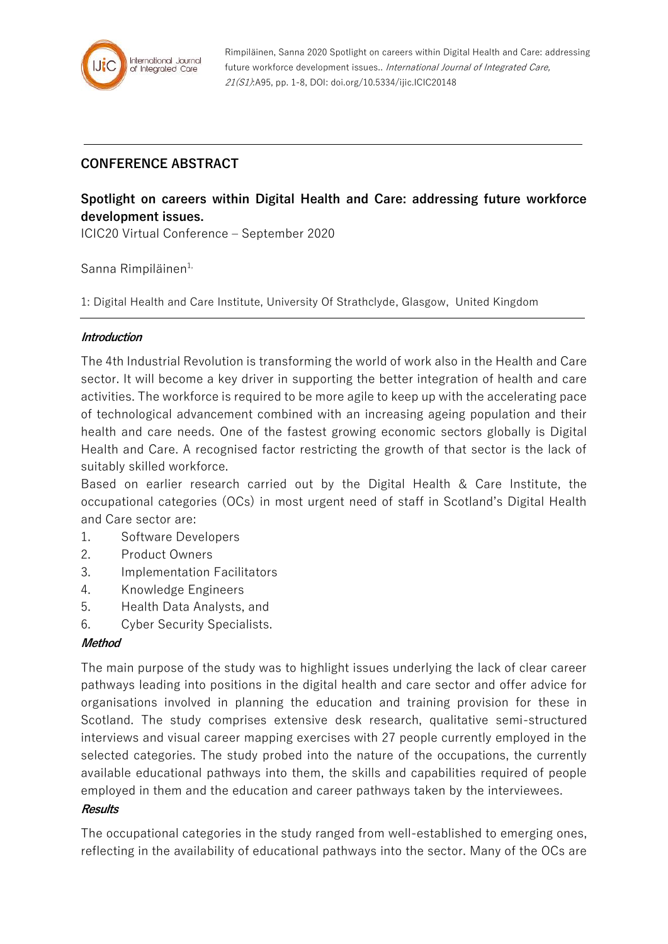

Rimpiläinen, Sanna 2020 Spotlight on careers within Digital Health and Care: addressing future workforce development issues.. International Journal of Integrated Care, 21(S1):A95, pp. 1-8, DOI: doi.org/10.5334/ijic.ICIC20148

# **CONFERENCE ABSTRACT**

# **Spotlight on careers within Digital Health and Care: addressing future workforce development issues.**

ICIC20 Virtual Conference – September 2020

Sanna Rimpiläinen<sup>1,</sup>

1: Digital Health and Care Institute, University Of Strathclyde, Glasgow, United Kingdom

#### **Introduction**

The 4th Industrial Revolution is transforming the world of work also in the Health and Care sector. It will become a key driver in supporting the better integration of health and care activities. The workforce is required to be more agile to keep up with the accelerating pace of technological advancement combined with an increasing ageing population and their health and care needs. One of the fastest growing economic sectors globally is Digital Health and Care. A recognised factor restricting the growth of that sector is the lack of suitably skilled workforce.

Based on earlier research carried out by the Digital Health & Care Institute, the occupational categories (OCs) in most urgent need of staff in Scotland's Digital Health and Care sector are:

- 1. Software Developers
- 2. Product Owners
- 3. Implementation Facilitators
- 4. Knowledge Engineers
- 5. Health Data Analysts, and
- 6. Cyber Security Specialists.

### **Method**

The main purpose of the study was to highlight issues underlying the lack of clear career pathways leading into positions in the digital health and care sector and offer advice for organisations involved in planning the education and training provision for these in Scotland. The study comprises extensive desk research, qualitative semi-structured interviews and visual career mapping exercises with 27 people currently employed in the selected categories. The study probed into the nature of the occupations, the currently available educational pathways into them, the skills and capabilities required of people employed in them and the education and career pathways taken by the interviewees.

#### **Results**

The occupational categories in the study ranged from well-established to emerging ones, reflecting in the availability of educational pathways into the sector. Many of the OCs are